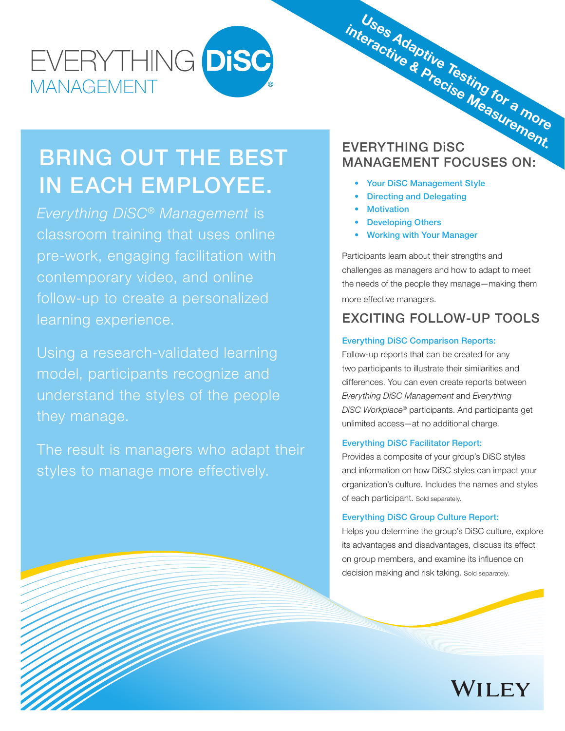## EVERYTHING DISC MANAGEMENT

## BRING OUT THE BEST IN EACH EMPLOYEE.

*Everything DiSC*® *Management* is classroom training that uses online pre-work, engaging facilitation with contemporary video, and online follow-up to create a personalized learning experience.

Using a research-validated learning model, participants recognize and understand the styles of the people they manage.

The result is managers who adapt their styles to manage more effectively.

# interactive & Precise Measurement.<br>EVERYTHING DISC MANAGEMENT FOCUSES ON: Uses Adaptive Testing for a more

- Your DiSC Management Style
- Directing and Delegating
- Motivation
- Developing Others
- Working with Your Manager

Participants learn about their strengths and challenges as managers and how to adapt to meet the needs of the people they manage—making them more effective managers.

### EXCITING FOLLOW-UP TOOLS

#### Everything DiSC Comparison Reports:

Follow-up reports that can be created for any two participants to illustrate their similarities and differences. You can even create reports between *Everything DiSC Management* and *Everything DiSC Workplace*® participants. And participants get unlimited access—at no additional charge.

#### Everything DiSC Facilitator Report:

Provides a composite of your group's DiSC styles and information on how DiSC styles can impact your organization's culture. Includes the names and styles of each participant. Sold separately.

#### Everything DiSC Group Culture Report:

Helps you determine the group's DiSC culture, explore its advantages and disadvantages, discuss its effect on group members, and examine its influence on decision making and risk taking. Sold separately.